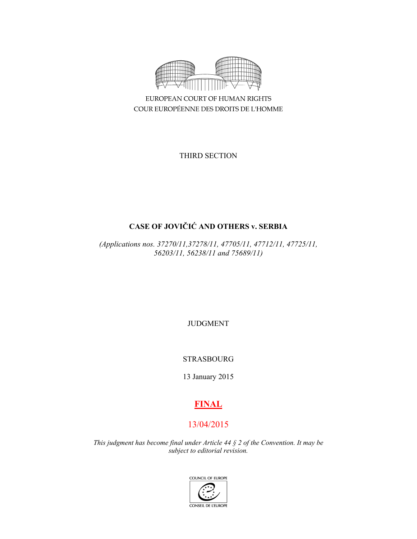

EUROPEAN COURT OF HUMAN RIGHTS COUR EUROPÉENNE DES DROITS DE L'HOMME

THIRD SECTION

# **CASE OF JOVIČIĆ AND OTHERS v. SERBIA**

*(Applications nos. 37270/11,37278/11, 47705/11, 47712/11, 47725/11, 56203/11, 56238/11 and 75689/11)* 

JUDGMENT

## STRASBOURG

13 January 2015

# **FINAL**

# 13/04/2015

*This judgment has become final under Article 44 § 2 of the Convention. It may be subject to editorial revision.* 

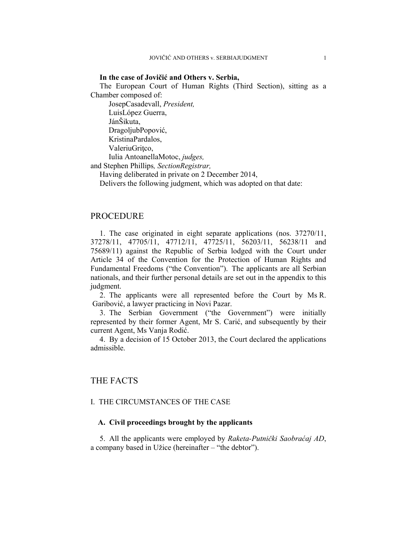#### **In the case of Jovičić and Others v. Serbia,**

The European Court of Human Rights (Third Section), sitting as a Chamber composed of:

 JosepCasadevall, *President,*  LuisLópez Guerra, JánŠikuta, DragoljubPopović, KristinaPardalos, ValeriuGritco, Iulia AntoanellaMotoc, *judges,* and Stephen Phillips*, SectionRegistrar,*

Having deliberated in private on 2 December 2014,

Delivers the following judgment, which was adopted on that date:

## PROCEDURE

1. The case originated in eight separate applications (nos. 37270/11, 37278/11, 47705/11, 47712/11, 47725/11, 56203/11, 56238/11 and 75689/11) against the Republic of Serbia lodged with the Court under Article 34 of the Convention for the Protection of Human Rights and Fundamental Freedoms ("the Convention"). The applicants are all Serbian nationals, and their further personal details are set out in the appendix to this judgment.

2. The applicants were all represented before the Court by Ms R. Garibović, a lawyer practicing in Novi Pazar.

3. The Serbian Government ("the Government") were initially represented by their former Agent, Mr S. Carić, and subsequently by their current Agent, Ms Vanja Rodić.

4. By a decision of 15 October 2013, the Court declared the applications admissible.

## THE FACTS

## I. THE CIRCUMSTANCES OF THE CASE

#### **A. Civil proceedings brought by the applicants**

5. All the applicants were employed by *Raketa-Putnički Saobraćaj AD*, a company based in Užice (hereinafter – "the debtor").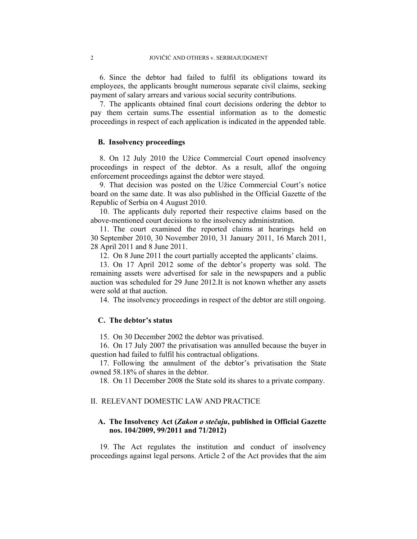6. Since the debtor had failed to fulfil its obligations toward its employees, the applicants brought numerous separate civil claims, seeking payment of salary arrears and various social security contributions.

7. The applicants obtained final court decisions ordering the debtor to pay them certain sums.The essential information as to the domestic proceedings in respect of each application is indicated in the appended table.

### **B. Insolvency proceedings**

8. On 12 July 2010 the Užice Commercial Court opened insolvency proceedings in respect of the debtor. As a result, allof the ongoing enforcement proceedings against the debtor were stayed.

9. That decision was posted on the Užice Commercial Court's notice board on the same date. It was also published in the Official Gazette of the Republic of Serbia on 4 August 2010.

10. The applicants duly reported their respective claims based on the above-mentioned court decisions to the insolvency administration.

11. The court examined the reported claims at hearings held on 30 September 2010, 30 November 2010, 31 January 2011, 16 March 2011, 28 April 2011 and 8 June 2011.

12. On 8 June 2011 the court partially accepted the applicants' claims.

13. On 17 April 2012 some of the debtor's property was sold. The remaining assets were advertised for sale in the newspapers and a public auction was scheduled for 29 June 2012.It is not known whether any assets were sold at that auction.

14. The insolvency proceedings in respect of the debtor are still ongoing.

#### **C. The debtor's status**

15. On 30 December 2002 the debtor was privatised.

16. On 17 July 2007 the privatisation was annulled because the buyer in question had failed to fulfil his contractual obligations.

17. Following the annulment of the debtor's privatisation the State owned 58.18% of shares in the debtor.

18. On 11 December 2008 the State sold its shares to a private company.

## II. RELEVANT DOMESTIC LAW AND PRACTICE

## **A. The Insolvency Act (***Zakon o stečaju***, published in Official Gazette nos. 104/2009, 99/2011 and 71/2012)**

19. The Act regulates the institution and conduct of insolvency proceedings against legal persons. Article 2 of the Act provides that the aim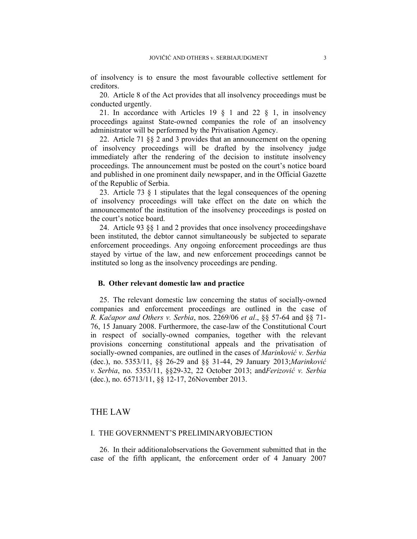of insolvency is to ensure the most favourable collective settlement for creditors.

20. Article 8 of the Act provides that all insolvency proceedings must be conducted urgently.

21. In accordance with Articles 19 § 1 and 22 § 1, in insolvency proceedings against State-owned companies the role of an insolvency administrator will be performed by the Privatisation Agency.

22. Article 71 §§ 2 and 3 provides that an announcement on the opening of insolvency proceedings will be drafted by the insolvency judge immediately after the rendering of the decision to institute insolvency proceedings. The announcement must be posted on the court's notice board and published in one prominent daily newspaper, and in the Official Gazette of the Republic of Serbia.

23. Article 73 § 1 stipulates that the legal consequences of the opening of insolvency proceedings will take effect on the date on which the announcementof the institution of the insolvency proceedings is posted on the court's notice board.

24. Article 93 §§ 1 and 2 provides that once insolvency proceedingshave been instituted, the debtor cannot simultaneously be subjected to separate enforcement proceedings. Any ongoing enforcement proceedings are thus stayed by virtue of the law, and new enforcement proceedings cannot be instituted so long as the insolvency proceedings are pending.

#### **B. Other relevant domestic law and practice**

25. The relevant domestic law concerning the status of socially-owned companies and enforcement proceedings are outlined in the case of *R. Kačapor and Others v. Serbia*, nos. 2269/06 *et al*., §§ 57-64 and §§ 71- 76, 15 January 2008. Furthermore, the case-law of the Constitutional Court in respect of socially-owned companies, together with the relevant provisions concerning constitutional appeals and the privatisation of socially-owned companies, are outlined in the cases of *Marinković v. Serbia*  (dec.), no. 5353/11, §§ 26-29 and §§ 31-44, 29 January 2013;*Marinković v. Serbia*, no. 5353/11, §§29-32, 22 October 2013; and*Ferizović v. Serbia*  (dec.), no. 65713/11, §§ 12-17, 26November 2013.

## THE LAW

#### I. THE GOVERNMENT'S PRELIMINARYOBJECTION

26. In their additionalobservations the Government submitted that in the case of the fifth applicant, the enforcement order of 4 January 2007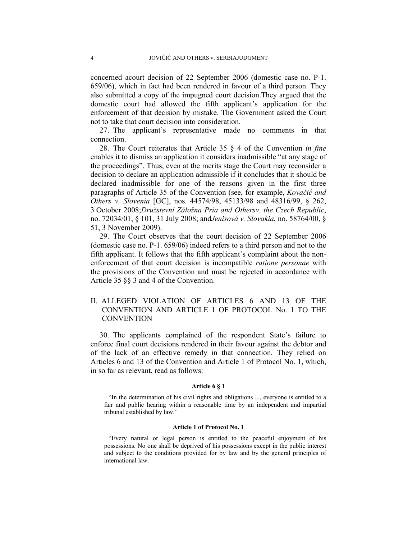concerned acourt decision of 22 September 2006 (domestic case no. P-1. 659/06), which in fact had been rendered in favour of a third person. They also submitted a copy of the impugned court decision.They argued that the domestic court had allowed the fifth applicant's application for the enforcement of that decision by mistake. The Government asked the Court not to take that court decision into consideration.

27. The applicant's representative made no comments in that connection.

28. The Court reiterates that Article 35 § 4 of the Convention *in fine* enables it to dismiss an application it considers inadmissible "at any stage of the proceedings". Thus, even at the merits stage the Court may reconsider a decision to declare an application admissible if it concludes that it should be declared inadmissible for one of the reasons given in the first three paragraphs of Article 35 of the Convention (see, for example, *Kovačić and Others v. Slovenia* [GC], nos. 44574/98, 45133/98 and 48316/99, § 262, 3 October 2008;*Družstevní Záložna Pria and Othersv. the Czech Republic*, no. 72034/01, § 101, 31 July 2008; and*Jenisová v. Slovakia*, no. 58764/00, § 51, 3 November 2009).

29. The Court observes that the court decision of 22 September 2006 (domestic case no. P-1. 659/06) indeed refers to a third person and not to the fifth applicant. It follows that the fifth applicant's complaint about the nonenforcement of that court decision is incompatible *ratione personae* with the provisions of the Convention and must be rejected in accordance with Article 35 §§ 3 and 4 of the Convention.

## II. ALLEGED VIOLATION OF ARTICLES 6 AND 13 OF THE CONVENTION AND ARTICLE 1 OF PROTOCOL No. 1 TO THE **CONVENTION**

30. The applicants complained of the respondent State's failure to enforce final court decisions rendered in their favour against the debtor and of the lack of an effective remedy in that connection. They relied on Articles 6 and 13 of the Convention and Article 1 of Protocol No. 1, which, in so far as relevant, read as follows:

#### **Article 6 § 1**

"In the determination of his civil rights and obligations ..., everyone is entitled to a fair and public hearing within a reasonable time by an independent and impartial tribunal established by law."

#### **Article 1 of Protocol No. 1**

"Every natural or legal person is entitled to the peaceful enjoyment of his possessions. No one shall be deprived of his possessions except in the public interest and subject to the conditions provided for by law and by the general principles of international law.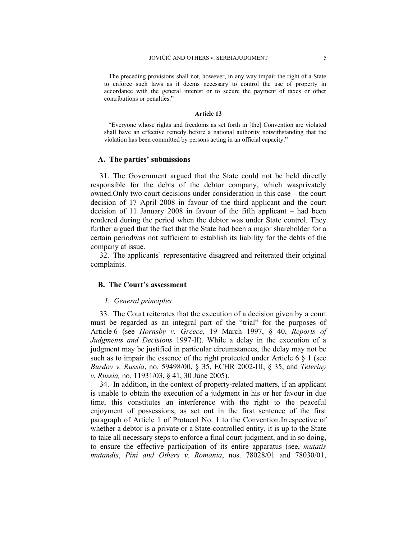The preceding provisions shall not, however, in any way impair the right of a State to enforce such laws as it deems necessary to control the use of property in accordance with the general interest or to secure the payment of taxes or other contributions or penalties."

#### **Article 13**

"Everyone whose rights and freedoms as set forth in [the] Convention are violated shall have an effective remedy before a national authority notwithstanding that the violation has been committed by persons acting in an official capacity."

#### **A. The parties' submissions**

31. The Government argued that the State could not be held directly responsible for the debts of the debtor company, which wasprivately owned.Only two court decisions under consideration in this case – the court decision of 17 April 2008 in favour of the third applicant and the court decision of 11 January 2008 in favour of the fifth applicant – had been rendered during the period when the debtor was under State control. They further argued that the fact that the State had been a major shareholder for a certain periodwas not sufficient to establish its liability for the debts of the company at issue.

32. The applicants' representative disagreed and reiterated their original complaints.

### **B. The Court's assessment**

#### *1. General principles*

33. The Court reiterates that the execution of a decision given by a court must be regarded as an integral part of the "trial" for the purposes of Article 6 (see *Hornsby v. Greece*, 19 March 1997, § 40, *Reports of Judgments and Decisions* 1997-II). While a delay in the execution of a judgment may be justified in particular circumstances, the delay may not be such as to impair the essence of the right protected under Article 6  $\S$  1 (see *Burdov v. Russia*, no. 59498/00, § 35, ECHR 2002-III, § 35, and *Teteriny v. Russia,* no. 11931/03, § 41, 30 June 2005).

34. In addition, in the context of property-related matters, if an applicant is unable to obtain the execution of a judgment in his or her favour in due time, this constitutes an interference with the right to the peaceful enjoyment of possessions, as set out in the first sentence of the first paragraph of Article 1 of Protocol No. 1 to the Convention.Irrespective of whether a debtor is a private or a State-controlled entity, it is up to the State to take all necessary steps to enforce a final court judgment, and in so doing, to ensure the effective participation of its entire apparatus (see, *mutatis mutandis*, *Pini and Others v. Romania*, nos. 78028/01 and 78030/01,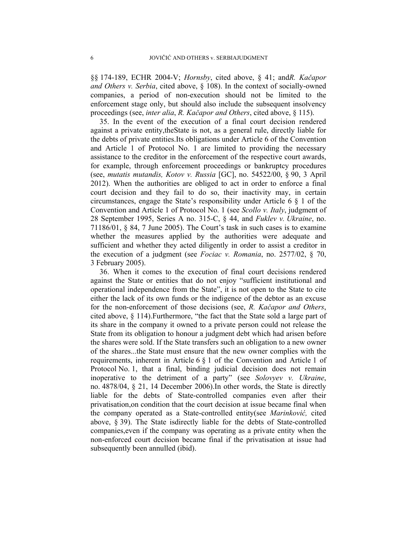§§ 174-189, ECHR 2004-V; *Hornsby*, cited above, § 41; and*R. Kačapor and Others v. Serbia*, cited above, § 108). In the context of socially-owned companies, a period of non-execution should not be limited to the enforcement stage only, but should also include the subsequent insolvency proceedings (see, *inter alia*, *R. Kačapor and Others*, cited above, § 115).

35. In the event of the execution of a final court decision rendered against a private entity,theState is not, as a general rule, directly liable for the debts of private entities.Its obligations under Article 6 of the Convention and Article 1 of Protocol No. 1 are limited to providing the necessary assistance to the creditor in the enforcement of the respective court awards, for example, through enforcement proceedings or bankruptcy procedures (see, *mutatis mutandis, Kotov v. Russia* [GC], no. 54522/00, § 90, 3 April 2012). When the authorities are obliged to act in order to enforce a final court decision and they fail to do so, their inactivity may, in certain circumstances, engage the State's responsibility under Article 6 § 1 of the Convention and Article 1 of Protocol No. 1 (see *Scollo v. Italy*, judgment of 28 September 1995, Series A no. 315-C, § 44, and *Fuklev v. Ukraine*, no. 71186/01, § 84, 7 June 2005). The Court's task in such cases is to examine whether the measures applied by the authorities were adequate and sufficient and whether they acted diligently in order to assist a creditor in the execution of a judgment (see *Fociac v. Romania*, no. 2577/02, § 70, 3 February 2005).

36. When it comes to the execution of final court decisions rendered against the State or entities that do not enjoy "sufficient institutional and operational independence from the State", it is not open to the State to cite either the lack of its own funds or the indigence of the debtor as an excuse for the non-enforcement of those decisions (see, *R. Kačapor and Others*, cited above, § 114).Furthermore, "the fact that the State sold a large part of its share in the company it owned to a private person could not release the State from its obligation to honour a judgment debt which had arisen before the shares were sold. If the State transfers such an obligation to a new owner of the shares...the State must ensure that the new owner complies with the requirements, inherent in Article 6 § 1 of the Convention and Article 1 of Protocol No. 1, that a final, binding judicial decision does not remain inoperative to the detriment of a party" (see *Solovyev v. Ukraine*, no. 4878/04, § 21, 14 December 2006).In other words, the State is directly liable for the debts of State-controlled companies even after their privatisation,on condition that the court decision at issue became final when the company operated as a State-controlled entity(see *Marinković,* cited above, § 39). The State isdirectly liable for the debts of State-controlled companies,even if the company was operating as a private entity when the non-enforced court decision became final if the privatisation at issue had subsequently been annulled (ibid).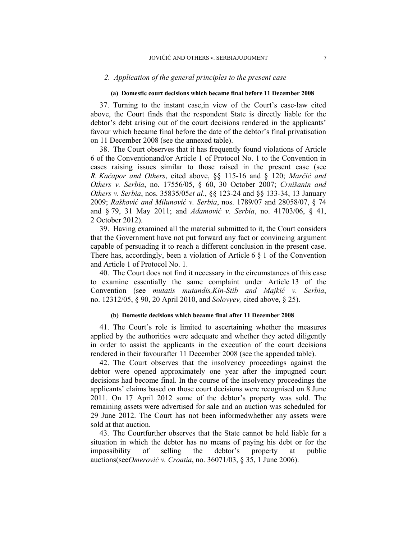#### *2. Application of the general principles to the present case*

#### **(a) Domestic court decisions which became final before 11 December 2008**

37. Turning to the instant case,in view of the Court's case-law cited above, the Court finds that the respondent State is directly liable for the debtor's debt arising out of the court decisions rendered in the applicants' favour which became final before the date of the debtor's final privatisation on 11 December 2008 (see the annexed table).

38. The Court observes that it has frequently found violations of Article 6 of the Conventionand/or Article 1 of Protocol No. 1 to the Convention in cases raising issues similar to those raised in the present case (see *R. Kačapor and Others*, cited above, §§ 115-16 and § 120; *Marčić and Others v. Serbia*, no. 17556/05, § 60, 30 October 2007; *Crnišanin and Others v. Serbia*, nos. 35835/05*et al*., §§ 123-24 and §§ 133-34, 13 January 2009; *Rašković and Milunović v. Serbia*, nos. 1789/07 and 28058/07, § 74 and § 79, 31 May 2011; and *Adamović v. Serbia*, no. 41703/06, § 41, 2 October 2012).

39. Having examined all the material submitted to it, the Court considers that the Government have not put forward any fact or convincing argument capable of persuading it to reach a different conclusion in the present case. There has, accordingly, been a violation of Article 6 § 1 of the Convention and Article 1 of Protocol No. 1.

40. The Court does not find it necessary in the circumstances of this case to examine essentially the same complaint under Article 13 of the Convention (see *mutatis mutandis,Kin-Stib and Majkić v. Serbia*, no. 12312/05, § 90, 20 April 2010, and *Solovyev,* cited above, § 25).

#### **(b) Domestic decisions which became final after 11 December 2008**

41. The Court's role is limited to ascertaining whether the measures applied by the authorities were adequate and whether they acted diligently in order to assist the applicants in the execution of the court decisions rendered in their favourafter 11 December 2008 (see the appended table).

42. The Court observes that the insolvency proceedings against the debtor were opened approximately one year after the impugned court decisions had become final. In the course of the insolvency proceedings the applicants' claims based on those court decisions were recognised on 8 June 2011. On 17 April 2012 some of the debtor's property was sold. The remaining assets were advertised for sale and an auction was scheduled for 29 June 2012. The Court has not been informedwhether any assets were sold at that auction.

43. The Courtfurther observes that the State cannot be held liable for a situation in which the debtor has no means of paying his debt or for the impossibility of selling the debtor's property at public auctions(see*Omerović v. Croatia*, no. 36071/03, § 35, 1 June 2006).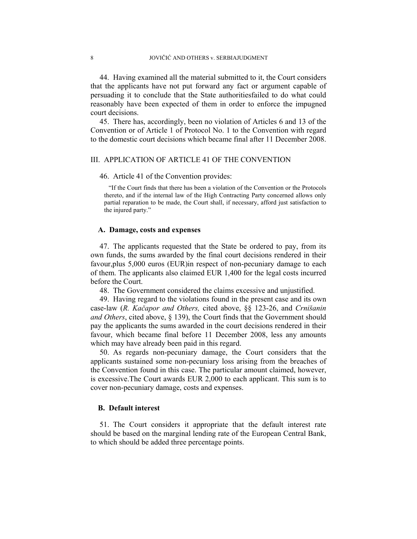44. Having examined all the material submitted to it, the Court considers that the applicants have not put forward any fact or argument capable of persuading it to conclude that the State authoritiesfailed to do what could reasonably have been expected of them in order to enforce the impugned court decisions.

45. There has, accordingly, been no violation of Articles 6 and 13 of the Convention or of Article 1 of Protocol No. 1 to the Convention with regard to the domestic court decisions which became final after 11 December 2008.

## III. APPLICATION OF ARTICLE 41 OF THE CONVENTION

#### 46. Article 41 of the Convention provides:

"If the Court finds that there has been a violation of the Convention or the Protocols thereto, and if the internal law of the High Contracting Party concerned allows only partial reparation to be made, the Court shall, if necessary, afford just satisfaction to the injured party."

#### **A. Damage, costs and expenses**

47. The applicants requested that the State be ordered to pay, from its own funds, the sums awarded by the final court decisions rendered in their favour,plus 5,000 euros (EUR)in respect of non-pecuniary damage to each of them. The applicants also claimed EUR 1,400 for the legal costs incurred before the Court.

48. The Government considered the claims excessive and unjustified.

49. Having regard to the violations found in the present case and its own case-law (*R. Kačapor and Others,* cited above, §§ 123-26, and *Crnišanin and Others*, cited above, § 139), the Court finds that the Government should pay the applicants the sums awarded in the court decisions rendered in their favour, which became final before 11 December 2008, less any amounts which may have already been paid in this regard.

50. As regards non-pecuniary damage, the Court considers that the applicants sustained some non-pecuniary loss arising from the breaches of the Convention found in this case. The particular amount claimed, however, is excessive.The Court awards EUR 2,000 to each applicant. This sum is to cover non-pecuniary damage, costs and expenses.

#### **B. Default interest**

51. The Court considers it appropriate that the default interest rate should be based on the marginal lending rate of the European Central Bank, to which should be added three percentage points.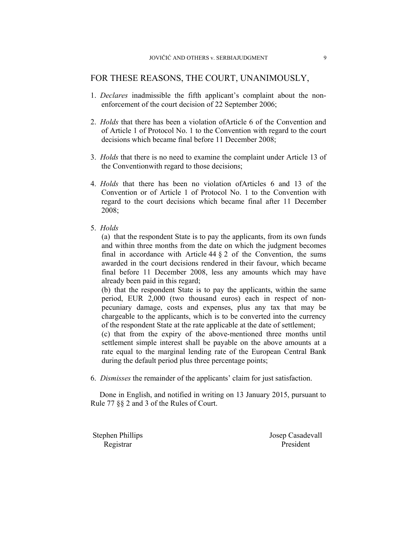## FOR THESE REASONS, THE COURT, UNANIMOUSLY,

- 1. *Declares* inadmissible the fifth applicant's complaint about the nonenforcement of the court decision of 22 September 2006;
- 2. *Holds* that there has been a violation ofArticle 6 of the Convention and of Article 1 of Protocol No. 1 to the Convention with regard to the court decisions which became final before 11 December 2008;
- 3. *Holds* that there is no need to examine the complaint under Article 13 of the Conventionwith regard to those decisions;
- 4. *Holds* that there has been no violation ofArticles 6 and 13 of the Convention or of Article 1 of Protocol No. 1 to the Convention with regard to the court decisions which became final after 11 December 2008;
- 5. *Holds*

(a) that the respondent State is to pay the applicants, from its own funds and within three months from the date on which the judgment becomes final in accordance with Article  $44 \tbinom{2}{3}$  of the Convention, the sums awarded in the court decisions rendered in their favour, which became final before 11 December 2008, less any amounts which may have already been paid in this regard;

(b) that the respondent State is to pay the applicants, within the same period, EUR 2,000 (two thousand euros) each in respect of nonpecuniary damage, costs and expenses, plus any tax that may be chargeable to the applicants, which is to be converted into the currency of the respondent State at the rate applicable at the date of settlement;

(c) that from the expiry of the above-mentioned three months until settlement simple interest shall be payable on the above amounts at a rate equal to the marginal lending rate of the European Central Bank during the default period plus three percentage points;

6. *Dismisses* the remainder of the applicants' claim for just satisfaction.

Done in English, and notified in writing on 13 January 2015, pursuant to Rule 77 §§ 2 and 3 of the Rules of Court.

Stephen Phillips Josep Casadevall

Registrar President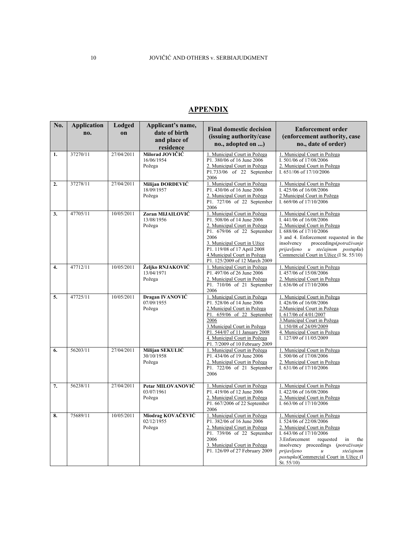# **APPENDIX**

| No.              | <b>Application</b><br>no. | Lodged<br>on | Applicant's name,<br>date of birth<br>and place of<br>residence | <b>Final domestic decision</b><br>(issuing authority/case<br>no., adopted on )                                                                                                                                                                                     | <b>Enforcement order</b><br>(enforcement authority, case<br>no., date of order)                                                                                                                                                                                                                               |
|------------------|---------------------------|--------------|-----------------------------------------------------------------|--------------------------------------------------------------------------------------------------------------------------------------------------------------------------------------------------------------------------------------------------------------------|---------------------------------------------------------------------------------------------------------------------------------------------------------------------------------------------------------------------------------------------------------------------------------------------------------------|
| 1.               | 37270/11                  | 27/04/2011   | Milorad JOVIČIĆ<br>16/06/1954<br>Požega                         | 1. Municipal Court in Požega<br>P1. 380/06 of 16 June 2006<br>2. Municipal Court in Požega<br>P1.733/06 of 22 September<br>2006                                                                                                                                    | 1. Municipal Court in Požega<br>I. 501/06 of 17/08/2006<br>2. Municipal Court in Požega<br>I. 651//06 of 17/10/2006                                                                                                                                                                                           |
| 2.               | 37278/11                  | 27/04/2011   | Milijan ĐORĐEVIĆ<br>18/09/1957<br>Požega                        | 1. Municipal Court in Požega<br>P1.430/06 of 16 June 2006<br>2. Municipal Court in Požega<br>P1. 727/06 of 22 September<br>2006                                                                                                                                    | 1. Municipal Court in Požega<br>I. 425/06 of 16/08/2006<br>2 Municipal Court in Požega<br>I. 669/06 of 17/10/2006                                                                                                                                                                                             |
| 3.               | 47705/11                  | 10/05/2011   | Zoran MIJAILOVIĆ<br>13/08/1956<br>Požega                        | 1. Municipal Court in Požega<br>P1.508/06 of 14 June 2006<br>2. Municipal Court in Požega<br>P1. 679/06 of 22 September<br>2006<br>3. Municipal Court in Užice<br>P1. 119/08 of 17 April 2008<br>4. Municipal Court in Požega<br>P1. 125/2009 of 12 March 2009     | 1. Municipal Court in Požega<br>I. 441/06 of 16/08/2006<br>2. Municipal Court in Požega<br>I. 688/06 of 17/10/2006<br>3 and 4. Enforcement requested in the<br>insolvency<br>proceedings(potraživanje<br>prijavljeno u stečajnom postupku)<br>Commercial Court in Užice (I St. 55/10)                         |
| $\overline{4}$ . | 47712/11                  | 10/05/2011   | Željko RNJAKOVIĆ<br>13/04/1971<br>Požega                        | 1. Municipal Court in Požega<br>P1.497/06 of 26 June 2006<br>2. Municipal Court in Požega<br>P1. 710/06 of 21 September<br>2006                                                                                                                                    | 1. Municipal Court in Požega<br>I. 457/06 of 15/08/2006<br>2. Municipal Court in Požega<br>I. 636/06 of 17/10/2006                                                                                                                                                                                            |
| 5.               | 47725/11                  | 10/05/2011   | Dragan IVANOVIĆ<br>07/09/1955<br>Požega                         | 1. Municipal Court in Požega<br>P1.528/06 of 14 June 2006<br>2. Municipal Court in Požega<br>P1. 659/06 of 22 September<br>2006<br>3. Municipal Court in Požega<br>P1. 544/07 of 11 January 2008<br>4. Municipal Court in Požega<br>P1. 7/2009 of 10 February 2009 | 1. Municipal Court in Požega<br>I. 426/06 of 16/08/2006<br>2. Municipal Court in Požega<br>I. 617/06 of 4/01/2007<br>3. Municipal Court in Požega<br>I. 150/08 of 24/09/2009<br>4. Municipal Court in Požega<br>I. 127/09 of 11/05/2009                                                                       |
| 6.               | 56203/11                  | 27/04/2011   | Milijan SEKULIĆ<br>30/10/1958<br>Požega                         | 1. Municipal Court in Požega<br>P1. 434/06 of 19 June 2006<br>2. Municipal Court in Požega<br>P1. 722/06 of 21 September<br>2006                                                                                                                                   | 1. Municipal Court in Požega<br>I. 500/06 of 17/08/2006<br>2. Municipal Court in Požega<br>I. 631/06 of 17/10/2006                                                                                                                                                                                            |
| 7.               | 56238/11                  | 27/04/2011   | Petar MILOVANOVIĆ<br>03/07/1961<br>Požega                       | 1. Municipal Court in Požega<br>P1.419/06 of 12 June 2006<br>2. Municipal Court in Požega<br>P1. 667/2006 of 22 September<br>2006                                                                                                                                  | 1. Municipal Court in Požega<br>I. 422/06 of 16/08/2006<br>2. Municipal Court in Požega<br>I. 663/06 of 17/10/2006                                                                                                                                                                                            |
| 8.               | 75689/11                  | 10/05/2011   | Miodrag KOVAČEVIĆ<br>02/12/1955<br>Požega                       | 1. Municipal Court in Požega<br>P1. 382/06 of 16 June 2006<br>2. Municipal Court in Požega<br>P1. $739/06$ of 22 September<br>2006<br>3. Municipal Court in Požega<br>P1. 126/09 of 27 February 2009                                                               | 1. Municipal Court in Požega<br>I. 524/06 of 22/08/2006<br>2. Municipal Court in Požega<br>I. 643/06 of 17/10/2006<br>3. Enforcement<br>requested<br>in<br>the<br>insolvency proceedings (potraživanje<br>prijavljeno<br>stečajnom<br>$\mathfrak u$<br>postupku)Commercial Court in Užice (I<br>St. $55/10$ ) |